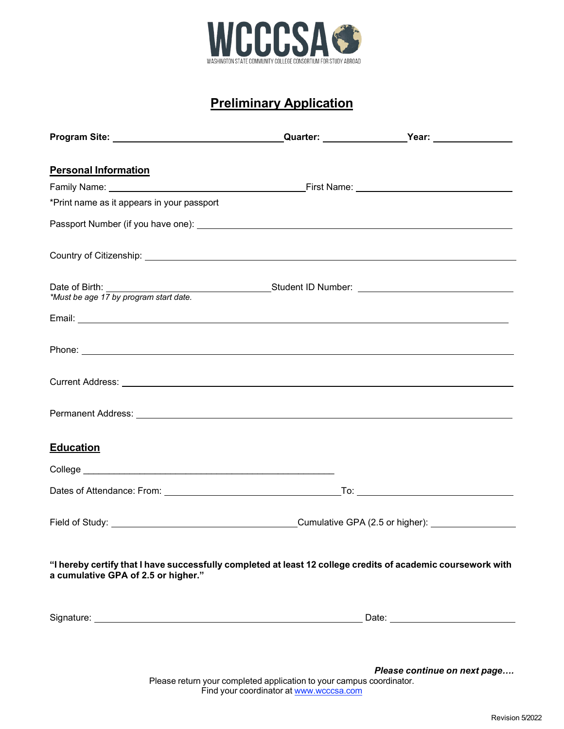

## **Preliminary Application**

| <b>Personal Information</b>                                                                                                                                                                                                          |  |
|--------------------------------------------------------------------------------------------------------------------------------------------------------------------------------------------------------------------------------------|--|
|                                                                                                                                                                                                                                      |  |
| *Print name as it appears in your passport                                                                                                                                                                                           |  |
|                                                                                                                                                                                                                                      |  |
| Country of Citizenship: <u>Country of Citizenship:</u>                                                                                                                                                                               |  |
| Date of Birth: <u>Unitsed Student ID</u> Number: 2014 Must be age 17 by program start date.                                                                                                                                          |  |
|                                                                                                                                                                                                                                      |  |
|                                                                                                                                                                                                                                      |  |
| Current Address: <u>Quarter and Contract and Contract and Contract and Contract and Contract and Contract and Contract and Contract and Contract and Contract and Contract and Contract and Contract and Contract and Contract a</u> |  |
|                                                                                                                                                                                                                                      |  |
| <b>Education</b>                                                                                                                                                                                                                     |  |
|                                                                                                                                                                                                                                      |  |
|                                                                                                                                                                                                                                      |  |
|                                                                                                                                                                                                                                      |  |
| "I hereby certify that I have successfully completed at least 12 college credits of academic coursework with<br>a cumulative GPA of 2.5 or higher."                                                                                  |  |
|                                                                                                                                                                                                                                      |  |
|                                                                                                                                                                                                                                      |  |

Please return your completed application to your campus coordinator. Find your coordinator at [www.wcccsa.com](http://www.wcccsa.com/) *Please continue on next page….*